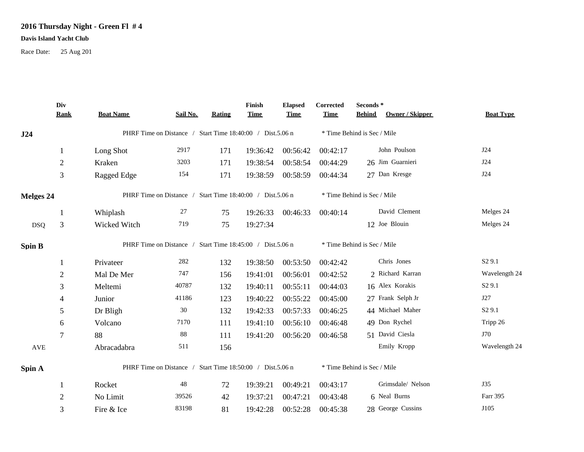## **2016 Thursday Night - Green Fl # 4**

## **Davis Island Yacht Club**

Race Date: 25 Aug 201

|                      | Div<br><b>Rank</b> | <b>Boat Name</b> | Sail No.                                                  | Rating | Finish<br><b>Time</b> | <b>Elapsed</b><br><b>Time</b> | Corrected<br><b>Time</b> | Seconds*<br><b>Behind</b><br>Owner / Skipper | <b>Boat Type</b>   |
|----------------------|--------------------|------------------|-----------------------------------------------------------|--------|-----------------------|-------------------------------|--------------------------|----------------------------------------------|--------------------|
| J24                  |                    |                  | PHRF Time on Distance / Start Time 18:40:00 / Dist.5.06 n |        |                       |                               |                          | * Time Behind is Sec / Mile                  |                    |
|                      | -1                 | Long Shot        | 2917                                                      | 171    | 19:36:42              | 00:56:42                      | 00:42:17                 | John Poulson                                 | J24                |
|                      | $\overline{2}$     | Kraken           | 3203                                                      | 171    | 19:38:54              | 00:58:54                      | 00:44:29                 | 26 Jim Guarnieri                             | J24                |
|                      | 3                  | Ragged Edge      | 154                                                       | 171    | 19:38:59              | 00:58:59                      | 00:44:34                 | 27 Dan Kresge                                | J24                |
| Melges 24            |                    |                  | PHRF Time on Distance / Start Time 18:40:00 / Dist.5.06 n |        |                       |                               |                          | * Time Behind is Sec / Mile                  |                    |
|                      | -1                 | Whiplash         | 27                                                        | 75     | 19:26:33              | 00:46:33                      | 00:40:14                 | David Clement                                | Melges 24          |
| <b>DSQ</b>           | 3                  | Wicked Witch     | 719                                                       | 75     | 19:27:34              |                               |                          | 12 Joe Blouin                                | Melges 24          |
| <b>Spin B</b>        |                    |                  | PHRF Time on Distance / Start Time 18:45:00 / Dist.5.06 n |        |                       |                               |                          | * Time Behind is Sec / Mile                  |                    |
|                      | 1                  | Privateer        | 282                                                       | 132    | 19:38:50              | 00:53:50                      | 00:42:42                 | Chris Jones                                  | S <sub>2</sub> 9.1 |
|                      | $\overline{2}$     | Mal De Mer       | 747                                                       | 156    | 19:41:01              | 00:56:01                      | 00:42:52                 | 2 Richard Karran                             | Wavelength 24      |
|                      | 3                  | Meltemi          | 40787                                                     | 132    | 19:40:11              | 00:55:11                      | 00:44:03                 | 16 Alex Korakis                              | S <sub>2</sub> 9.1 |
|                      | 4                  | Junior           | 41186                                                     | 123    | 19:40:22              | 00:55:22                      | 00:45:00                 | 27 Frank Selph Jr                            | J27                |
|                      | 5                  | Dr Bligh         | 30                                                        | 132    | 19:42:33              | 00:57:33                      | 00:46:25                 | 44 Michael Maher                             | S <sub>2</sub> 9.1 |
|                      | 6                  | Volcano          | 7170                                                      | 111    | 19:41:10              | 00:56:10                      | 00:46:48                 | 49 Don Rychel                                | Tripp 26           |
|                      | 7                  | 88               | $88\,$                                                    | 111    | 19:41:20              | 00:56:20                      | 00:46:58                 | 51 David Ciesla                              | J70                |
| $\operatorname{AVE}$ |                    | Abracadabra      | 511                                                       | 156    |                       |                               |                          | Emily Kropp                                  | Wavelength 24      |
| Spin A               |                    |                  | PHRF Time on Distance / Start Time 18:50:00 / Dist.5.06 n |        |                       |                               |                          | * Time Behind is Sec / Mile                  |                    |
|                      | -1                 | Rocket           | 48                                                        | 72     | 19:39:21              | 00:49:21                      | 00:43:17                 | Grimsdale/ Nelson                            | <b>J35</b>         |
|                      | $\overline{2}$     | No Limit         | 39526                                                     | 42     | 19:37:21              | 00:47:21                      | 00:43:48                 | 6 Neal Burns                                 | Farr 395           |
|                      | 3                  | Fire & Ice       | 83198                                                     | 81     | 19:42:28              | 00:52:28                      | 00:45:38                 | 28 George Cussins                            | J105               |